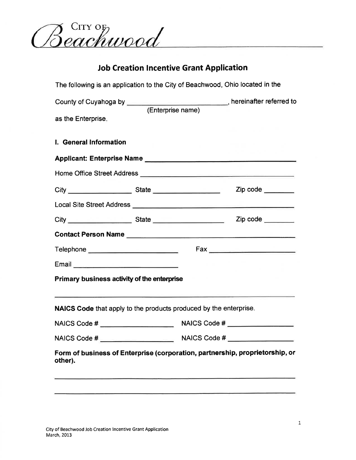Beachwood

# **Job Creation Incentive Grant Application**

The following is an application to the City of Beachwood, Ohio located in the

|                                                                                                                | County of Cuyahoga by <b>County</b> , hereinafter referred to<br>(Enterprise name) |                          |
|----------------------------------------------------------------------------------------------------------------|------------------------------------------------------------------------------------|--------------------------|
| as the Enterprise.                                                                                             |                                                                                    |                          |
| I. General Information                                                                                         |                                                                                    |                          |
|                                                                                                                |                                                                                    |                          |
|                                                                                                                |                                                                                    |                          |
|                                                                                                                |                                                                                    | $\mathsf{Zip code} \_\_$ |
|                                                                                                                |                                                                                    |                          |
|                                                                                                                |                                                                                    | $\mathsf{Zip code} \_\_$ |
|                                                                                                                |                                                                                    |                          |
| Telephone ___________________________                                                                          |                                                                                    |                          |
| Email 2008 - 2008 - 2008 - 2019 - 2019 - 2019 - 2019 - 2019 - 2019 - 2019 - 2019 - 2019 - 2019 - 2019 - 2019 - |                                                                                    |                          |
| Primary business activity of the enterprise                                                                    |                                                                                    |                          |
|                                                                                                                | NAICS Code that apply to the products produced by the enterprise.                  |                          |
|                                                                                                                |                                                                                    |                          |
|                                                                                                                |                                                                                    |                          |
| other).                                                                                                        | Form of business of Enterprise (corporation, partnership, proprietorship, or       |                          |
|                                                                                                                |                                                                                    |                          |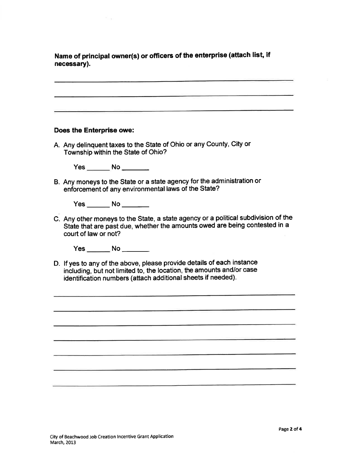Name of principal owner(s) or officers of the enterprise (attach list, if necessary).

#### Does the Enterprise owe:

A. Any delinquent taxes to the State of Ohio or any County, City or Township within the State of Ohio?

 $Yes$  No  $\_\_\_\_\_\$ 

B. Any moneys to the State or a state agency for the administration or enforcement of any environmental laws of the State?

Yes \_\_\_\_\_\_\_ No \_\_\_\_\_\_\_

C. Any other moneys to the State, a state agency or a political subdivision of the State that are past due, whether the amounts owed are being contested in a court of law or not?

Yes \_\_\_\_\_\_\_\_ No \_\_\_\_\_\_\_\_

D. If yes to any of the above, please provide details of each instance including, but not limited to, the location, the amounts and/or case identification numbers (attach additional sheets if needed).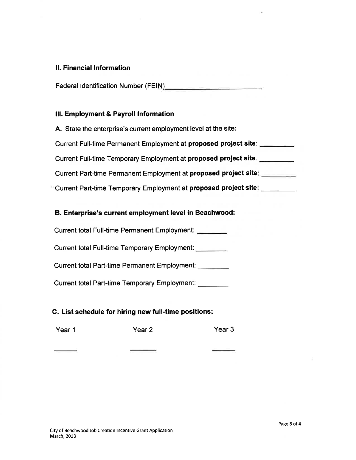### **II. Financial Information**

Federal Identification Number (FEIN)

## III. Employment & Payroll Information

A. State the enterprise's current employment level at the site: Current Full-time Permanent Employment at proposed project site: \_\_\_\_\_\_\_\_ Current Full-time Temporary Employment at proposed project site: \_\_\_\_\_\_\_\_\_ Current Part-time Permanent Employment at proposed project site: Current Part-time Temporary Employment at proposed project site: \_\_\_\_\_\_\_\_

## B. Enterprise's current employment level in Beachwood:

Current total Full-time Permanent Employment:

Current total Full-time Temporary Employment:

Current total Part-time Permanent Employment:

Current total Part-time Temporary Employment:

### C. List schedule for hiring new full-time positions:

Year 1 Year 2 Year<sub>3</sub>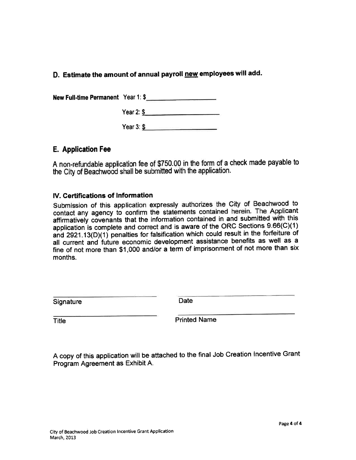## D. Estimate the amount of annual payroll new employees will add.

New Full-time Permanent Year 1:\$

Year 2:  $\frac{6}{5}$ 

Year 3  $\sqrt{ }$ 

## **E. Application Fee**

A non-refundable application fee of \$750.00 in the form of a check made payable to the City of Beachwood shall be submitted with the application.

## IV. Certifications of Information

Submission of this application expressly authorizes the City of Beachwood to contact any agency to confirm the statements contained herein. The Applicant affirmatively covenants that the information contained in and submitted with this application is complete and correct and is aware of the ORC Sections 9.66(C)(1) and 2921.13(D)(1) penalties for falsification which could result in the forfeiture of all current and future economic development assistance benefits as well as a fine of not more than \$1,000 and/or a term of imprisonment of not more than six months.

Signature

Date

**Title** 

**Printed Name** 

A copy of this application will be attached to the final Job Creation Incentive Grant Program Agreement as Exhibit A.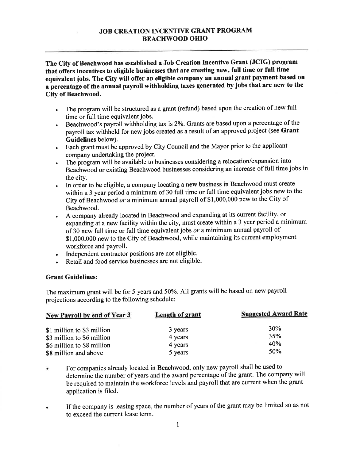#### **JOB CREATION INCENTIVE GRANT PROGRAM BEACHWOOD OHIO**

The City of Beachwood has established a Job Creation Incentive Grant (JCIG) program that offers incentives to eligible businesses that are creating new, full time or full time equivalent jobs. The City will offer an eligible company an annual grant payment based on a percentage of the annual payroll withholding taxes generated by jobs that are new to the City of Beachwood.

- The program will be structured as a grant (refund) based upon the creation of new full  $\bullet$ time or full time equivalent jobs.
- Beachwood's payroll withholding tax is 2%. Grants are based upon a percentage of the payroll tax withheld for new jobs created as a result of an approved project (see Grant Guidelines below).
- Each grant must be approved by City Council and the Mayor prior to the applicant  $\bullet$ company undertaking the project.
- The program will be available to businesses considering a relocation/expansion into Beachwood or existing Beachwood businesses considering an increase of full time jobs in the city.
- In order to be eligible, a company locating a new business in Beachwood must create within a 3 year period a minimum of 30 full time or full time equivalent jobs new to the City of Beachwood or a minimum annual payroll of \$1,000,000 new to the City of Beachwood.
- A company already located in Beachwood and expanding at its current facility, or expanding at a new facility within the city, must create within a 3 year period a minimum of 30 new full time or full time equivalent jobs or a minimum annual payroll of \$1,000,000 new to the City of Beachwood, while maintaining its current employment workforce and payroll.
- Independent contractor positions are not eligible.
- Retail and food service businesses are not eligible.

#### **Grant Guidelines:**

The maximum grant will be for 5 years and 50%. All grants will be based on new payroll projections according to the following schedule:

| New Payroll by end of Year 3 | Length of grant | <b>Suggested Award Rate</b> |
|------------------------------|-----------------|-----------------------------|
| \$1 million to \$3 million   | 3 years         | 30%                         |
| \$3 million to \$6 million   | 4 years         | 35%                         |
| \$6 million to \$8 million   | 4 years         | 40%<br>50 <sub>%</sub>      |
| \$8 million and above        | 5 years         |                             |

- For companies already located in Beachwood, only new payroll shall be used to determine the number of years and the award percentage of the grant. The company will be required to maintain the workforce levels and payroll that are current when the grant application is filed.
- If the company is leasing space, the number of years of the grant may be limited so as not to exceed the current lease term.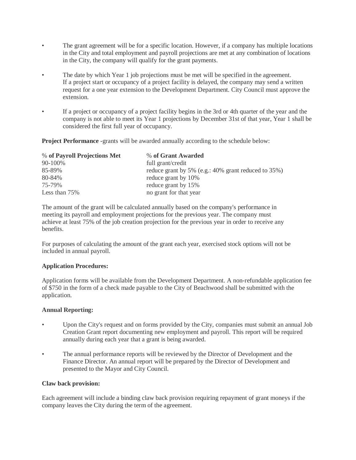- The grant agreement will be for a specific location. However, if a company has multiple locations in the City and total employment and payroll projections are met at any combination of locations in the City, the company will qualify for the grant payments.
- The date by which Year 1 job projections must be met will be specified in the agreement. If a project start or occupancy of a project facility is delayed, the company may send a written request for a one year extension to the Development Department. City Council must approve the extension.
- If a project or occupancy of a project facility begins in the 3rd or 4th quarter of the year and the company is not able to meet its Year 1 projections by December 31st of that year, Year 1 shall be considered the first full year of occupancy.

**Project Performance** -grants will be awarded annually according to the schedule below:

| % of Payroll Projections Met | % of Grant Awarded                                     |
|------------------------------|--------------------------------------------------------|
| 90-100%                      | full grant/credit                                      |
| 85-89%                       | reduce grant by 5% (e.g.: $40\%$ grant reduced to 35%) |
| 80-84%                       | reduce grant by 10%                                    |
| 75-79%                       | reduce grant by 15%                                    |
| Less than 75%                | no grant for that year                                 |

The amount of the grant will be calculated annually based on the company's performance in meeting its payroll and employment projections for the previous year. The company must achieve at least 75% of the job creation projection for the previous year in order to receive any benefits.

For purposes of calculating the amount of the grant each year, exercised stock options will not be included in annual payroll.

#### **Application Procedures:**

Application forms will be available from the Development Department. A non-refundable application fee of \$750 in the form of a check made payable to the City of Beachwood shall be submitted with the application.

#### **Annual Reporting:**

- Upon the City's request and on forms provided by the City, companies must submit an annual Job Creation Grant report documenting new employment and payroll. This report will be required annually during each year that a grant is being awarded.
- The annual performance reports will be reviewed by the Director of Development and the Finance Director. An annual report will be prepared by the Director of Development and presented to the Mayor and City Council.

#### **Claw back provision:**

Each agreement will include a binding claw back provision requiring repayment of grant moneys if the company leaves the City during the term of the agreement.